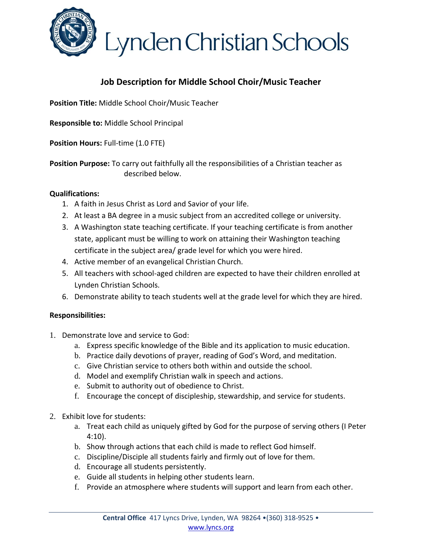

Lynden Christian Schools

### **Job Description for Middle School Choir/Music Teacher**

**Position Title:** Middle School Choir/Music Teacher

**Responsible to:** Middle School Principal

**Position Hours:** Full-time (1.0 FTE)

**Position Purpose:** To carry out faithfully all the responsibilities of a Christian teacher as described below.

#### **Qualifications:**

- 1. A faith in Jesus Christ as Lord and Savior of your life.
- 2. At least a BA degree in a music subject from an accredited college or university.
- 3. A Washington state teaching certificate. If your teaching certificate is from another state, applicant must be willing to work on attaining their Washington teaching certificate in the subject area/ grade level for which you were hired.
- 4. Active member of an evangelical Christian Church.
- 5. All teachers with school-aged children are expected to have their children enrolled at Lynden Christian Schools.
- 6. Demonstrate ability to teach students well at the grade level for which they are hired.

#### **Responsibilities:**

- 1. Demonstrate love and service to God:
	- a. Express specific knowledge of the Bible and its application to music education.
	- b. Practice daily devotions of prayer, reading of God's Word, and meditation.
	- c. Give Christian service to others both within and outside the school.
	- d. Model and exemplify Christian walk in speech and actions.
	- e. Submit to authority out of obedience to Christ.
	- f. Encourage the concept of discipleship, stewardship, and service for students.
- 2. Exhibit love for students:
	- a. Treat each child as uniquely gifted by God for the purpose of serving others (I Peter 4:10).
	- b. Show through actions that each child is made to reflect God himself.
	- c. Discipline/Disciple all students fairly and firmly out of love for them.
	- d. Encourage all students persistently.
	- e. Guide all students in helping other students learn.
	- f. Provide an atmosphere where students will support and learn from each other.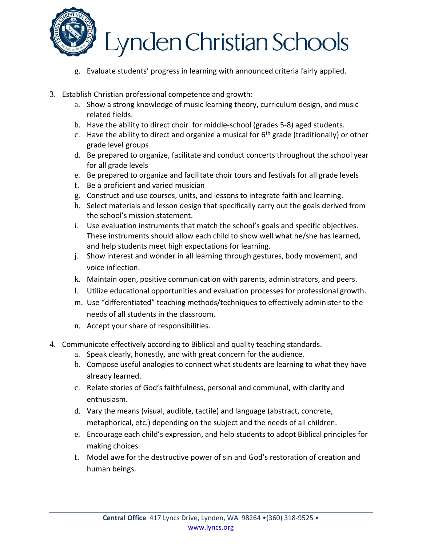

## Lynden Christian Schools

- g. Evaluate students' progress in learning with announced criteria fairly applied.
- 3. Establish Christian professional competence and growth:
	- a. Show a strong knowledge of music learning theory, curriculum design, and music related fields.
	- b. Have the ability to direct choir for middle-school (grades 5-8) aged students.
	- c. Have the ability to direct and organize a musical for  $6<sup>th</sup>$  grade (traditionally) or other grade level groups
	- d. Be prepared to organize, facilitate and conduct concerts throughout the school year for all grade levels
	- e. Be prepared to organize and facilitate choir tours and festivals for all grade levels
	- f. Be a proficient and varied musician
	- g. Construct and use courses, units, and lessons to integrate faith and learning.
	- h. Select materials and lesson design that specifically carry out the goals derived from the school's mission statement.
	- i. Use evaluation instruments that match the school's goals and specific objectives. These instruments should allow each child to show well what he/she has learned, and help students meet high expectations for learning.
	- j. Show interest and wonder in all learning through gestures, body movement, and voice inflection.
	- k. Maintain open, positive communication with parents, administrators, and peers.
	- l. Utilize educational opportunities and evaluation processes for professional growth.
	- m. Use "differentiated" teaching methods/techniques to effectively administer to the needs of all students in the classroom.
	- n. Accept your share of responsibilities.
- 4. Communicate effectively according to Biblical and quality teaching standards.
	- a. Speak clearly, honestly, and with great concern for the audience.
	- b. Compose useful analogies to connect what students are learning to what they have already learned.
	- c. Relate stories of God's faithfulness, personal and communal, with clarity and enthusiasm.
	- d. Vary the means (visual, audible, tactile) and language (abstract, concrete, metaphorical, etc.) depending on the subject and the needs of all children.
	- e. Encourage each child's expression, and help students to adopt Biblical principles for making choices.
	- f. Model awe for the destructive power of sin and God's restoration of creation and human beings.